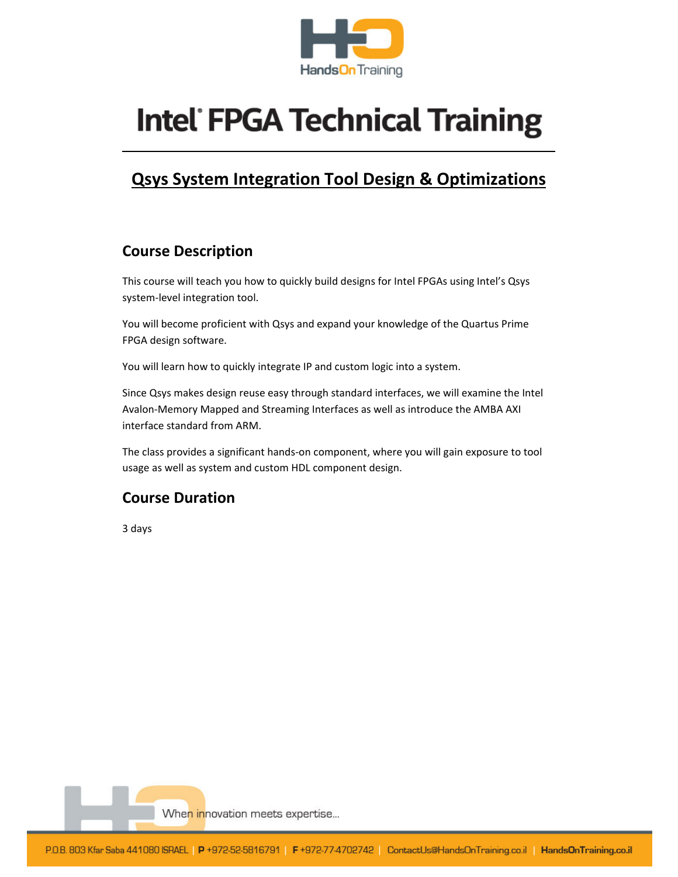

# **Intel FPGA Technical Training**

# **Qsys System Integration Tool Design & Optimizations**

# **Course Description**

This course will teach you how to quickly build designs for Intel FPGAs using Intel's Qsys system‐level integration tool.

You will become proficient with Qsys and expand your knowledge of the Quartus Prime FPGA design software.

You will learn how to quickly integrate IP and custom logic into a system.

Since Qsys makes design reuse easy through standard interfaces, we will examine the Intel Avalon‐Memory Mapped and Streaming Interfaces as well as introduce the AMBA AXI interface standard from ARM.

The class provides a significant hands‐on component, where you will gain exposure to tool usage as well as system and custom HDL component design.

# **Course Duration**

3 days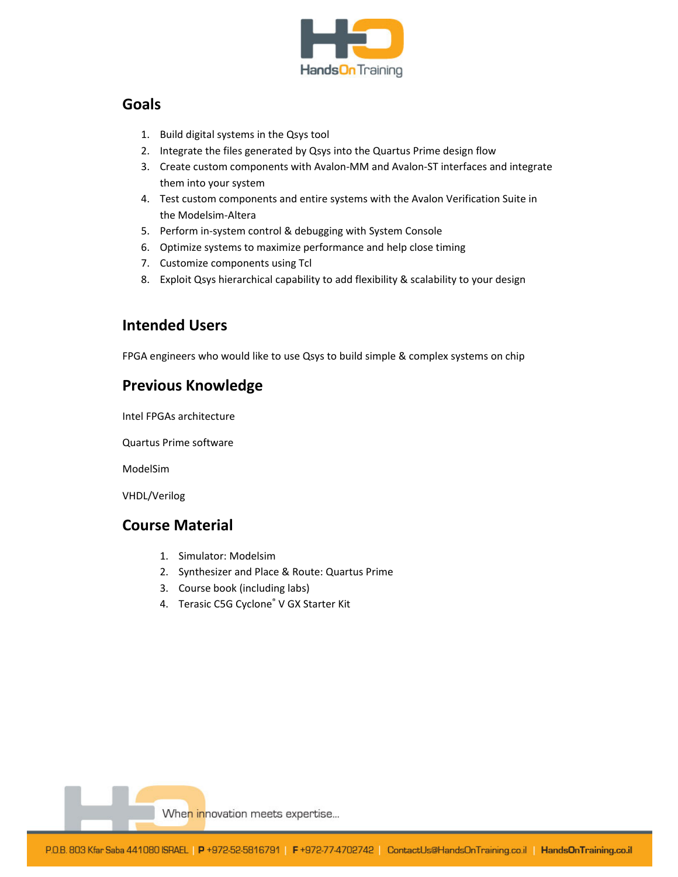

### **Goals**

- 1. Build digital systems in the Qsys tool
- 2. Integrate the files generated by Qsys into the Quartus Prime design flow
- 3. Create custom components with Avalon‐MM and Avalon‐ST interfaces and integrate them into your system
- 4. Test custom components and entire systems with the Avalon Verification Suite in the Modelsim‐Altera
- 5. Perform in‐system control & debugging with System Console
- 6. Optimize systems to maximize performance and help close timing
- 7. Customize components using Tcl
- 8. Exploit Qsys hierarchical capability to add flexibility & scalability to your design

## **Intended Users**

FPGA engineers who would like to use Qsys to build simple & complex systems on chip

## **Previous Knowledge**

Intel FPGAs architecture

Quartus Prime software

ModelSim

VHDL/Verilog

## **Course Material**

- 1. Simulator: Modelsim
- 2. Synthesizer and Place & Route: Quartus Prime
- 3. Course book (including labs)
- 4. Terasic C5G Cyclone® V GX Starter Kit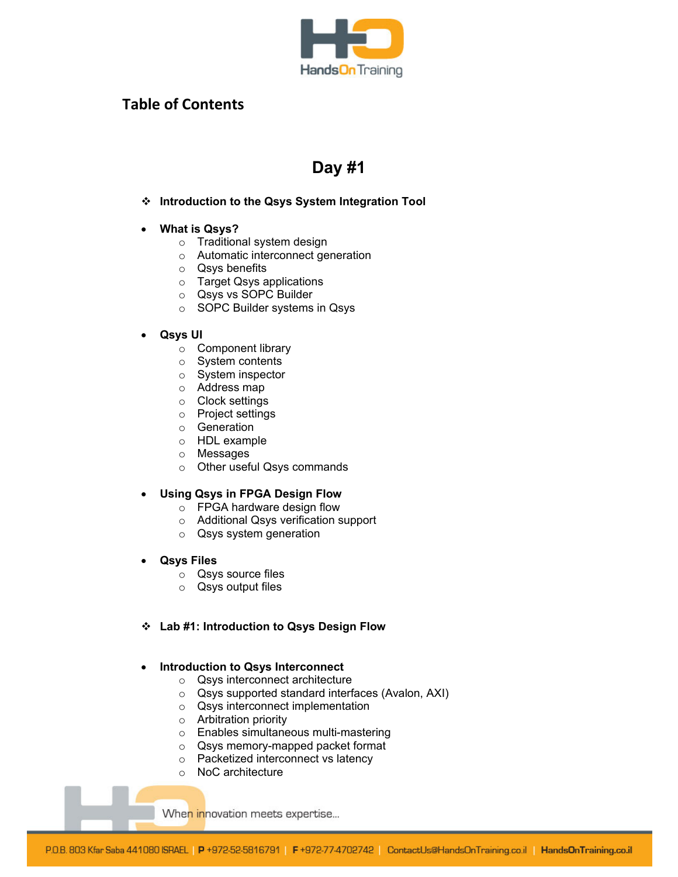

## **Table of Contents**

# **Day #1**

#### **Introduction to the Qsys System Integration Tool**

#### **What is Qsys?**

- o Traditional system design
- o Automatic interconnect generation
- o Qsys benefits
- o Target Qsys applications
- o Qsys vs SOPC Builder
- o SOPC Builder systems in Qsys

#### **Qsys UI**

- o Component library
- o System contents
- o System inspector
- o Address map
- o Clock settings
- o Project settings
- o Generation
- o HDL example
- o Messages
- o Other useful Qsys commands

#### **Using Qsys in FPGA Design Flow**

- o FPGA hardware design flow
- o Additional Qsys verification support
- o Qsys system generation

#### **Qsys Files**

- o Qsys source files
- o Qsys output files

#### **Lab #1: Introduction to Qsys Design Flow**

#### **Introduction to Qsys Interconnect**

- o Qsys interconnect architecture
- o Qsys supported standard interfaces (Avalon, AXI)
- o Qsys interconnect implementation
- o Arbitration priority
- o Enables simultaneous multi-mastering
- o Qsys memory-mapped packet format
- o Packetized interconnect vs latency
- o NoC architecture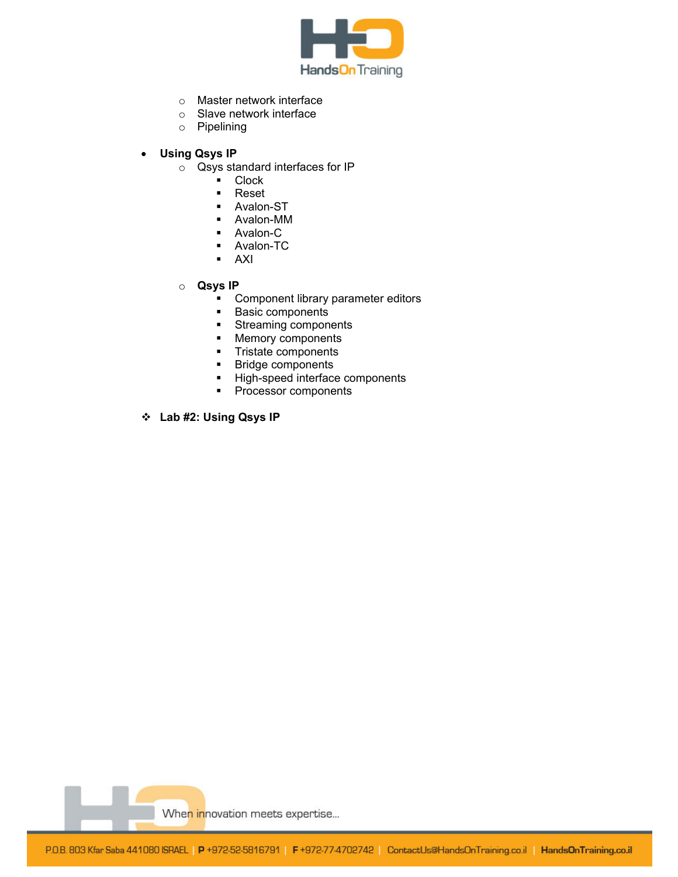

- o Master network interface
- o Slave network interface
- o Pipelining
- **Using Qsys IP** 
	- o Qsys standard interfaces for IP
		- **Clock**
		- Reset
		- Avalon-ST
		- Avalon-MM
		- **Avalon-C**
		- Avalon-TC
		- AXI
	- o **Qsys IP** 
		- **•** Component library parameter editors
		- **Basic components**
		- Streaming components<br>• Memory components
		- Memory components
		- **Tristate components**
		- **Bridge components**
		- High-speed interface components
		- **Processor components**
- **Lab #2: Using Qsys IP**

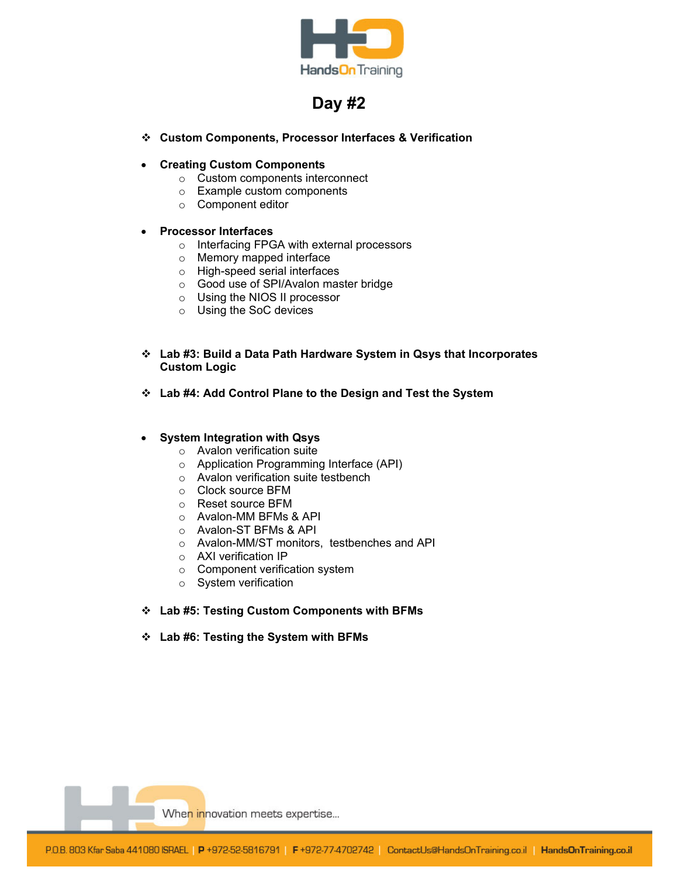

# **Day #2**

- **Custom Components, Processor Interfaces & Verification**
- **Creating Custom Components** 
	- o Custom components interconnect
	- o Example custom components
	- o Component editor
- **Processor Interfaces** 
	- o Interfacing FPGA with external processors
	- o Memory mapped interface
	- o High-speed serial interfaces
	- o Good use of SPI/Avalon master bridge
	- o Using the NIOS II processor
	- o Using the SoC devices
- **Lab #3: Build a Data Path Hardware System in Qsys that Incorporates Custom Logic**
- **Lab #4: Add Control Plane to the Design and Test the System**

#### **System Integration with Qsys**

- o Avalon verification suite
- o Application Programming Interface (API)
- o Avalon verification suite testbench
- o Clock source BFM
- o Reset source BFM
- o Avalon-MM BFMs & API
- o Avalon-ST BFMs & API
- o Avalon-MM/ST monitors, testbenches and API
- o AXI verification IP
- o Component verification system
- o System verification
- **Lab #5: Testing Custom Components with BFMs**
- **Lab #6: Testing the System with BFMs**